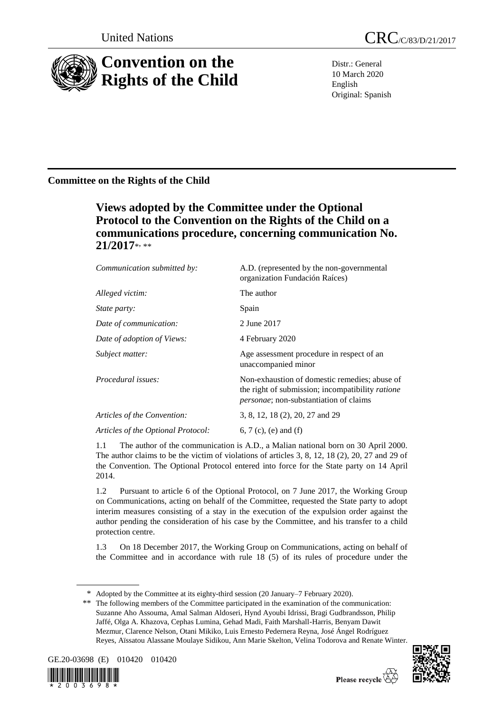

Distr.: General 10 March 2020 English Original: Spanish

## **Committee on the Rights of the Child**

# **Views adopted by the Committee under the Optional Protocol to the Convention on the Rights of the Child on a communications procedure, concerning communication No.**  21/2017\*<sub>\*\*</sub>

| Communication submitted by:        | A.D. (represented by the non-governmental<br>organization Fundación Raíces)                                                                         |
|------------------------------------|-----------------------------------------------------------------------------------------------------------------------------------------------------|
| Alleged victim:                    | The author                                                                                                                                          |
| <i>State party:</i>                | Spain                                                                                                                                               |
| Date of communication:             | 2 June 2017                                                                                                                                         |
| Date of adoption of Views:         | 4 February 2020                                                                                                                                     |
| Subject matter:                    | Age assessment procedure in respect of an<br>unaccompanied minor                                                                                    |
| <i>Procedural issues:</i>          | Non-exhaustion of domestic remedies; abuse of<br>the right of submission; incompatibility ratione<br><i>personae</i> ; non-substantiation of claims |
| Articles of the Convention:        | 3, 8, 12, 18 (2), 20, 27 and 29                                                                                                                     |
| Articles of the Optional Protocol: | 6, 7 (c), (e) and (f)                                                                                                                               |
|                                    |                                                                                                                                                     |

1.1 The author of the communication is A.D., a Malian national born on 30 April 2000. The author claims to be the victim of violations of articles 3, 8, 12, 18 (2), 20, 27 and 29 of the Convention. The Optional Protocol entered into force for the State party on 14 April 2014.

1.2 Pursuant to article 6 of the Optional Protocol, on 7 June 2017, the Working Group on Communications, acting on behalf of the Committee, requested the State party to adopt interim measures consisting of a stay in the execution of the expulsion order against the author pending the consideration of his case by the Committee, and his transfer to a child protection centre.

1.3 On 18 December 2017, the Working Group on Communications, acting on behalf of the Committee and in accordance with rule 18 (5) of its rules of procedure under the

<sup>\*\*</sup> The following members of the Committee participated in the examination of the communication: Suzanne Aho Assouma, Amal Salman Aldoseri, Hynd Ayoubi Idrissi, Bragi Gudbrandsson, Philip Jaffé, Olga A. Khazova, Cephas Lumina, Gehad Madi, Faith Marshall-Harris, Benyam Dawit Mezmur, Clarence Nelson, Otani Mikiko, Luis Ernesto Pedernera Reyna, José Ángel Rodríguez Reyes, Aïssatou Alassane Moulaye Sidikou, Ann Marie Skelton, Velina Todorova and Renate Winter.









<sup>\*</sup> Adopted by the Committee at its eighty-third session (20 January–7 February 2020).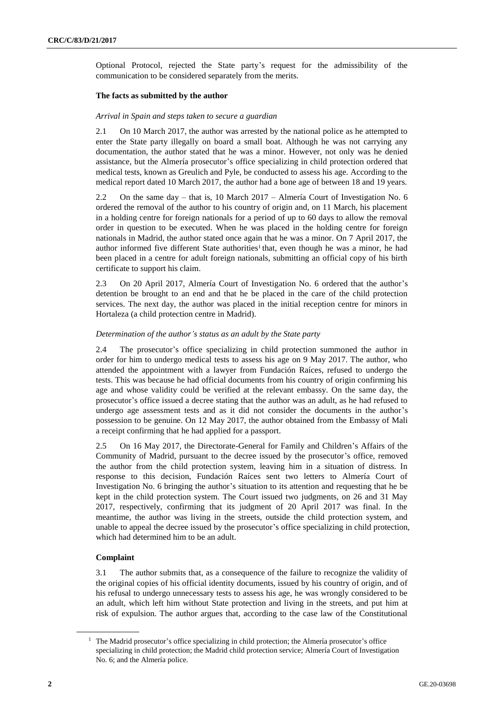Optional Protocol, rejected the State party's request for the admissibility of the communication to be considered separately from the merits.

#### **The facts as submitted by the author**

#### *Arrival in Spain and steps taken to secure a guardian*

2.1 On 10 March 2017, the author was arrested by the national police as he attempted to enter the State party illegally on board a small boat. Although he was not carrying any documentation, the author stated that he was a minor. However, not only was he denied assistance, but the Almería prosecutor's office specializing in child protection ordered that medical tests, known as Greulich and Pyle, be conducted to assess his age. According to the medical report dated 10 March 2017, the author had a bone age of between 18 and 19 years.

2.2 On the same day – that is, 10 March 2017 – Almería Court of Investigation No. 6 ordered the removal of the author to his country of origin and, on 11 March, his placement in a holding centre for foreign nationals for a period of up to 60 days to allow the removal order in question to be executed. When he was placed in the holding centre for foreign nationals in Madrid, the author stated once again that he was a minor. On 7 April 2017, the author informed five different State authorities<sup>1</sup> that, even though he was a minor, he had been placed in a centre for adult foreign nationals, submitting an official copy of his birth certificate to support his claim.

2.3 On 20 April 2017, Almería Court of Investigation No. 6 ordered that the author's detention be brought to an end and that he be placed in the care of the child protection services. The next day, the author was placed in the initial reception centre for minors in Hortaleza (a child protection centre in Madrid).

#### *Determination of the author's status as an adult by the State party*

2.4 The prosecutor's office specializing in child protection summoned the author in order for him to undergo medical tests to assess his age on 9 May 2017. The author, who attended the appointment with a lawyer from Fundación Raíces, refused to undergo the tests. This was because he had official documents from his country of origin confirming his age and whose validity could be verified at the relevant embassy. On the same day, the prosecutor's office issued a decree stating that the author was an adult, as he had refused to undergo age assessment tests and as it did not consider the documents in the author's possession to be genuine. On 12 May 2017, the author obtained from the Embassy of Mali a receipt confirming that he had applied for a passport.

2.5 On 16 May 2017, the Directorate-General for Family and Children's Affairs of the Community of Madrid, pursuant to the decree issued by the prosecutor's office, removed the author from the child protection system, leaving him in a situation of distress. In response to this decision, Fundación Raíces sent two letters to Almería Court of Investigation No. 6 bringing the author's situation to its attention and requesting that he be kept in the child protection system. The Court issued two judgments, on 26 and 31 May 2017, respectively, confirming that its judgment of 20 April 2017 was final. In the meantime, the author was living in the streets, outside the child protection system, and unable to appeal the decree issued by the prosecutor's office specializing in child protection, which had determined him to be an adult.

#### **Complaint**

3.1 The author submits that, as a consequence of the failure to recognize the validity of the original copies of his official identity documents, issued by his country of origin, and of his refusal to undergo unnecessary tests to assess his age, he was wrongly considered to be an adult, which left him without State protection and living in the streets, and put him at risk of expulsion. The author argues that, according to the case law of the Constitutional

<sup>&</sup>lt;sup>1</sup> The Madrid prosecutor's office specializing in child protection; the Almería prosecutor's office specializing in child protection; the Madrid child protection service; Almería Court of Investigation No. 6; and the Almería police.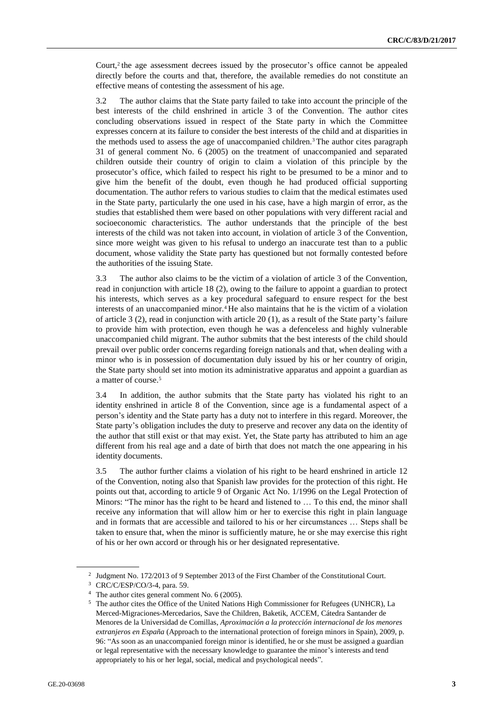Court,<sup>2</sup> the age assessment decrees issued by the prosecutor's office cannot be appealed directly before the courts and that, therefore, the available remedies do not constitute an effective means of contesting the assessment of his age.

3.2 The author claims that the State party failed to take into account the principle of the best interests of the child enshrined in article 3 of the Convention. The author cites concluding observations issued in respect of the State party in which the Committee expresses concern at its failure to consider the best interests of the child and at disparities in the methods used to assess the age of unaccompanied children.<sup>3</sup> The author cites paragraph 31 of general comment No. 6 (2005) on the treatment of unaccompanied and separated children outside their country of origin to claim a violation of this principle by the prosecutor's office, which failed to respect his right to be presumed to be a minor and to give him the benefit of the doubt, even though he had produced official supporting documentation. The author refers to various studies to claim that the medical estimates used in the State party, particularly the one used in his case, have a high margin of error, as the studies that established them were based on other populations with very different racial and socioeconomic characteristics. The author understands that the principle of the best interests of the child was not taken into account, in violation of article 3 of the Convention, since more weight was given to his refusal to undergo an inaccurate test than to a public document, whose validity the State party has questioned but not formally contested before the authorities of the issuing State.

3.3 The author also claims to be the victim of a violation of article 3 of the Convention, read in conjunction with article 18 (2), owing to the failure to appoint a guardian to protect his interests, which serves as a key procedural safeguard to ensure respect for the best interests of an unaccompanied minor.<sup>4</sup> He also maintains that he is the victim of a violation of article 3 (2), read in conjunction with article 20 (1), as a result of the State party's failure to provide him with protection, even though he was a defenceless and highly vulnerable unaccompanied child migrant. The author submits that the best interests of the child should prevail over public order concerns regarding foreign nationals and that, when dealing with a minor who is in possession of documentation duly issued by his or her country of origin, the State party should set into motion its administrative apparatus and appoint a guardian as a matter of course.<sup>5</sup>

3.4 In addition, the author submits that the State party has violated his right to an identity enshrined in article 8 of the Convention, since age is a fundamental aspect of a person's identity and the State party has a duty not to interfere in this regard. Moreover, the State party's obligation includes the duty to preserve and recover any data on the identity of the author that still exist or that may exist. Yet, the State party has attributed to him an age different from his real age and a date of birth that does not match the one appearing in his identity documents.

3.5 The author further claims a violation of his right to be heard enshrined in article 12 of the Convention, noting also that Spanish law provides for the protection of this right. He points out that, according to article 9 of Organic Act No. 1/1996 on the Legal Protection of Minors: "The minor has the right to be heard and listened to … To this end, the minor shall receive any information that will allow him or her to exercise this right in plain language and in formats that are accessible and tailored to his or her circumstances … Steps shall be taken to ensure that, when the minor is sufficiently mature, he or she may exercise this right of his or her own accord or through his or her designated representative.

<sup>2</sup> Judgment No. 172/2013 of 9 September 2013 of the First Chamber of the Constitutional Court.

<sup>3</sup> CRC/C/ESP/CO/3-4, para. 59.

<sup>4</sup> The author cites general comment No. 6 (2005).

<sup>5</sup> The author cites the Office of the United Nations High Commissioner for Refugees (UNHCR), La Merced-Migraciones-Mercedarios, Save the Children, Baketik, ACCEM, Cátedra Santander de Menores de la Universidad de Comillas, *Aproximación a la protección internacional de los menores extranjeros en España* (Approach to the international protection of foreign minors in Spain), 2009, p. 96: "As soon as an unaccompanied foreign minor is identified, he or she must be assigned a guardian or legal representative with the necessary knowledge to guarantee the minor's interests and tend appropriately to his or her legal, social, medical and psychological needs".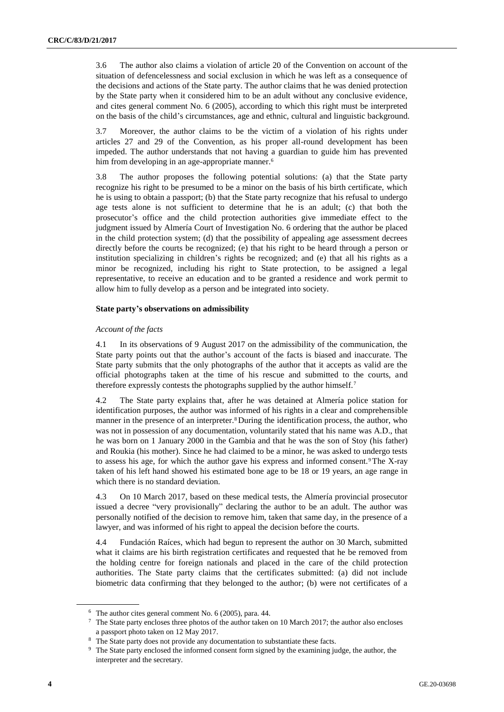3.6 The author also claims a violation of article 20 of the Convention on account of the situation of defencelessness and social exclusion in which he was left as a consequence of the decisions and actions of the State party. The author claims that he was denied protection by the State party when it considered him to be an adult without any conclusive evidence, and cites general comment No. 6 (2005), according to which this right must be interpreted on the basis of the child's circumstances, age and ethnic, cultural and linguistic background.

3.7 Moreover, the author claims to be the victim of a violation of his rights under articles 27 and 29 of the Convention, as his proper all-round development has been impeded. The author understands that not having a guardian to guide him has prevented him from developing in an age-appropriate manner.<sup>6</sup>

3.8 The author proposes the following potential solutions: (a) that the State party recognize his right to be presumed to be a minor on the basis of his birth certificate, which he is using to obtain a passport; (b) that the State party recognize that his refusal to undergo age tests alone is not sufficient to determine that he is an adult; (c) that both the prosecutor's office and the child protection authorities give immediate effect to the judgment issued by Almería Court of Investigation No. 6 ordering that the author be placed in the child protection system; (d) that the possibility of appealing age assessment decrees directly before the courts be recognized; (e) that his right to be heard through a person or institution specializing in children's rights be recognized; and (e) that all his rights as a minor be recognized, including his right to State protection, to be assigned a legal representative, to receive an education and to be granted a residence and work permit to allow him to fully develop as a person and be integrated into society.

#### **State party's observations on admissibility**

#### *Account of the facts*

4.1 In its observations of 9 August 2017 on the admissibility of the communication, the State party points out that the author's account of the facts is biased and inaccurate. The State party submits that the only photographs of the author that it accepts as valid are the official photographs taken at the time of his rescue and submitted to the courts, and therefore expressly contests the photographs supplied by the author himself.<sup>7</sup>

4.2 The State party explains that, after he was detained at Almería police station for identification purposes, the author was informed of his rights in a clear and comprehensible manner in the presence of an interpreter.<sup>8</sup> During the identification process, the author, who was not in possession of any documentation, voluntarily stated that his name was A.D., that he was born on 1 January 2000 in the Gambia and that he was the son of Stoy (his father) and Roukia (his mother). Since he had claimed to be a minor, he was asked to undergo tests to assess his age, for which the author gave his express and informed consent.9The X-ray taken of his left hand showed his estimated bone age to be 18 or 19 years, an age range in which there is no standard deviation.

4.3 On 10 March 2017, based on these medical tests, the Almería provincial prosecutor issued a decree "very provisionally" declaring the author to be an adult. The author was personally notified of the decision to remove him, taken that same day, in the presence of a lawyer, and was informed of his right to appeal the decision before the courts.

4.4 Fundación Raíces, which had begun to represent the author on 30 March, submitted what it claims are his birth registration certificates and requested that he be removed from the holding centre for foreign nationals and placed in the care of the child protection authorities. The State party claims that the certificates submitted: (a) did not include biometric data confirming that they belonged to the author; (b) were not certificates of a

 $6$  The author cites general comment No. 6 (2005), para. 44.

<sup>7</sup> The State party encloses three photos of the author taken on 10 March 2017; the author also encloses a passport photo taken on 12 May 2017.

<sup>&</sup>lt;sup>8</sup> The State party does not provide any documentation to substantiate these facts.

<sup>&</sup>lt;sup>9</sup> The State party enclosed the informed consent form signed by the examining judge, the author, the interpreter and the secretary.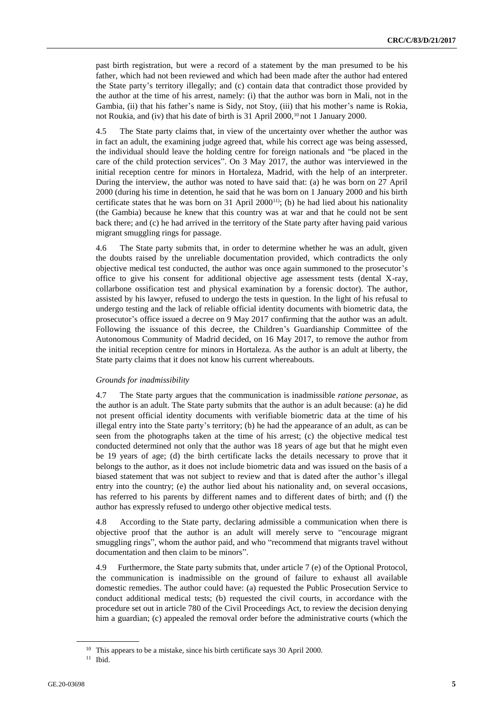past birth registration, but were a record of a statement by the man presumed to be his father, which had not been reviewed and which had been made after the author had entered the State party's territory illegally; and (c) contain data that contradict those provided by the author at the time of his arrest, namely: (i) that the author was born in Mali, not in the Gambia, (ii) that his father's name is Sidy, not Stoy, (iii) that his mother's name is Rokia, not Roukia, and (iv) that his date of birth is 31 April 2000,<sup>10</sup> not 1 January 2000.

4.5 The State party claims that, in view of the uncertainty over whether the author was in fact an adult, the examining judge agreed that, while his correct age was being assessed, the individual should leave the holding centre for foreign nationals and "be placed in the care of the child protection services". On 3 May 2017, the author was interviewed in the initial reception centre for minors in Hortaleza, Madrid, with the help of an interpreter. During the interview, the author was noted to have said that: (a) he was born on 27 April 2000 (during his time in detention, he said that he was born on 1 January 2000 and his birth certificate states that he was born on 31 April  $2000^{11}$ ; (b) he had lied about his nationality (the Gambia) because he knew that this country was at war and that he could not be sent back there; and (c) he had arrived in the territory of the State party after having paid various migrant smuggling rings for passage.

4.6 The State party submits that, in order to determine whether he was an adult, given the doubts raised by the unreliable documentation provided, which contradicts the only objective medical test conducted, the author was once again summoned to the prosecutor's office to give his consent for additional objective age assessment tests (dental X-ray, collarbone ossification test and physical examination by a forensic doctor). The author, assisted by his lawyer, refused to undergo the tests in question. In the light of his refusal to undergo testing and the lack of reliable official identity documents with biometric data, the prosecutor's office issued a decree on 9 May 2017 confirming that the author was an adult. Following the issuance of this decree, the Children's Guardianship Committee of the Autonomous Community of Madrid decided, on 16 May 2017, to remove the author from the initial reception centre for minors in Hortaleza. As the author is an adult at liberty, the State party claims that it does not know his current whereabouts.

#### *Grounds for inadmissibility*

4.7 The State party argues that the communication is inadmissible *ratione personae*, as the author is an adult. The State party submits that the author is an adult because: (a) he did not present official identity documents with verifiable biometric data at the time of his illegal entry into the State party's territory; (b) he had the appearance of an adult, as can be seen from the photographs taken at the time of his arrest; (c) the objective medical test conducted determined not only that the author was 18 years of age but that he might even be 19 years of age; (d) the birth certificate lacks the details necessary to prove that it belongs to the author, as it does not include biometric data and was issued on the basis of a biased statement that was not subject to review and that is dated after the author's illegal entry into the country; (e) the author lied about his nationality and, on several occasions, has referred to his parents by different names and to different dates of birth; and (f) the author has expressly refused to undergo other objective medical tests.

4.8 According to the State party, declaring admissible a communication when there is objective proof that the author is an adult will merely serve to "encourage migrant smuggling rings", whom the author paid, and who "recommend that migrants travel without documentation and then claim to be minors".

4.9 Furthermore, the State party submits that, under article 7 (e) of the Optional Protocol, the communication is inadmissible on the ground of failure to exhaust all available domestic remedies. The author could have: (a) requested the Public Prosecution Service to conduct additional medical tests; (b) requested the civil courts, in accordance with the procedure set out in article 780 of the Civil Proceedings Act, to review the decision denying him a guardian; (c) appealed the removal order before the administrative courts (which the

<sup>&</sup>lt;sup>10</sup> This appears to be a mistake, since his birth certificate says 30 April 2000.

<sup>11</sup> Ibid.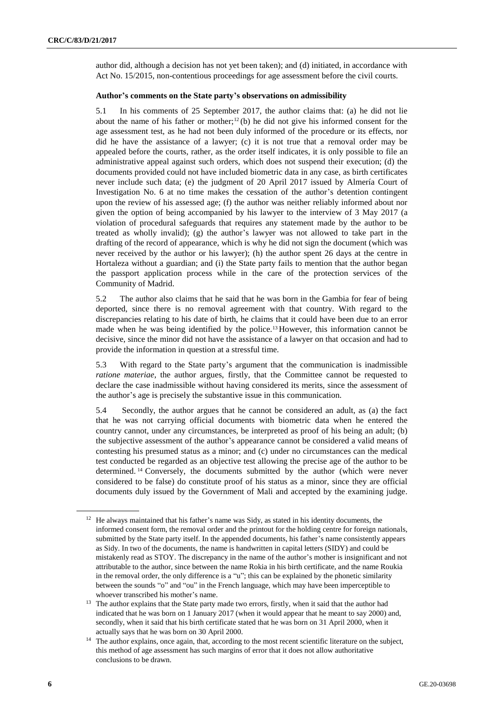author did, although a decision has not yet been taken); and (d) initiated, in accordance with Act No. 15/2015, non-contentious proceedings for age assessment before the civil courts.

#### **Author's comments on the State party's observations on admissibility**

5.1 In his comments of 25 September 2017, the author claims that: (a) he did not lie about the name of his father or mother;<sup>12</sup>(b) he did not give his informed consent for the age assessment test, as he had not been duly informed of the procedure or its effects, nor did he have the assistance of a lawyer; (c) it is not true that a removal order may be appealed before the courts, rather, as the order itself indicates, it is only possible to file an administrative appeal against such orders, which does not suspend their execution; (d) the documents provided could not have included biometric data in any case, as birth certificates never include such data; (e) the judgment of 20 April 2017 issued by Almería Court of Investigation No. 6 at no time makes the cessation of the author's detention contingent upon the review of his assessed age; (f) the author was neither reliably informed about nor given the option of being accompanied by his lawyer to the interview of 3 May 2017 (a violation of procedural safeguards that requires any statement made by the author to be treated as wholly invalid); (g) the author's lawyer was not allowed to take part in the drafting of the record of appearance, which is why he did not sign the document (which was never received by the author or his lawyer); (h) the author spent 26 days at the centre in Hortaleza without a guardian; and (i) the State party fails to mention that the author began the passport application process while in the care of the protection services of the Community of Madrid.

5.2 The author also claims that he said that he was born in the Gambia for fear of being deported, since there is no removal agreement with that country. With regard to the discrepancies relating to his date of birth, he claims that it could have been due to an error made when he was being identified by the police.<sup>13</sup> However, this information cannot be decisive, since the minor did not have the assistance of a lawyer on that occasion and had to provide the information in question at a stressful time.

5.3 With regard to the State party's argument that the communication is inadmissible *ratione materiae*, the author argues, firstly, that the Committee cannot be requested to declare the case inadmissible without having considered its merits, since the assessment of the author's age is precisely the substantive issue in this communication.

5.4 Secondly, the author argues that he cannot be considered an adult, as (a) the fact that he was not carrying official documents with biometric data when he entered the country cannot, under any circumstances, be interpreted as proof of his being an adult; (b) the subjective assessment of the author's appearance cannot be considered a valid means of contesting his presumed status as a minor; and (c) under no circumstances can the medical test conducted be regarded as an objective test allowing the precise age of the author to be determined. <sup>14</sup> Conversely, the documents submitted by the author (which were never considered to be false) do constitute proof of his status as a minor, since they are official documents duly issued by the Government of Mali and accepted by the examining judge.

 $12$  He always maintained that his father's name was Sidy, as stated in his identity documents, the informed consent form, the removal order and the printout for the holding centre for foreign nationals, submitted by the State party itself. In the appended documents, his father's name consistently appears as Sidy. In two of the documents, the name is handwritten in capital letters (SIDY) and could be mistakenly read as STOY. The discrepancy in the name of the author's mother is insignificant and not attributable to the author, since between the name Rokia in his birth certificate, and the name Roukia in the removal order, the only difference is a "u"; this can be explained by the phonetic similarity between the sounds "o" and "ou" in the French language, which may have been imperceptible to whoever transcribed his mother's name.

<sup>&</sup>lt;sup>13</sup> The author explains that the State party made two errors, firstly, when it said that the author had indicated that he was born on 1 January 2017 (when it would appear that he meant to say 2000) and, secondly, when it said that his birth certificate stated that he was born on 31 April 2000, when it actually says that he was born on 30 April 2000.

<sup>&</sup>lt;sup>14</sup> The author explains, once again, that, according to the most recent scientific literature on the subject, this method of age assessment has such margins of error that it does not allow authoritative conclusions to be drawn.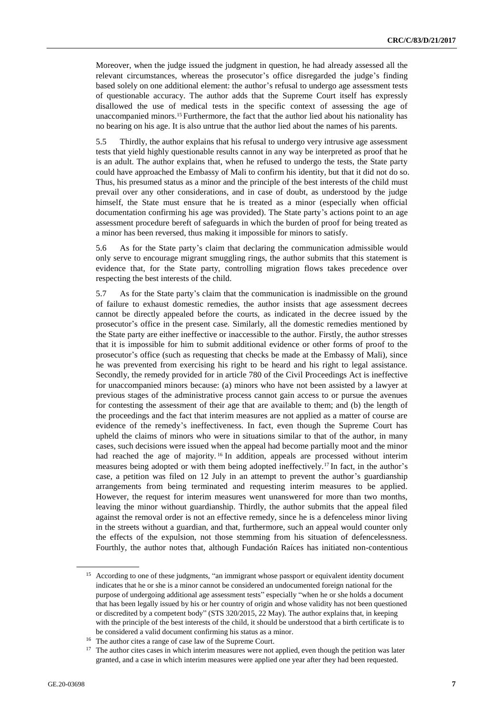Moreover, when the judge issued the judgment in question, he had already assessed all the relevant circumstances, whereas the prosecutor's office disregarded the judge's finding based solely on one additional element: the author's refusal to undergo age assessment tests of questionable accuracy. The author adds that the Supreme Court itself has expressly disallowed the use of medical tests in the specific context of assessing the age of unaccompanied minors.<sup>15</sup> Furthermore, the fact that the author lied about his nationality has no bearing on his age. It is also untrue that the author lied about the names of his parents.

5.5 Thirdly, the author explains that his refusal to undergo very intrusive age assessment tests that yield highly questionable results cannot in any way be interpreted as proof that he is an adult. The author explains that, when he refused to undergo the tests, the State party could have approached the Embassy of Mali to confirm his identity, but that it did not do so. Thus, his presumed status as a minor and the principle of the best interests of the child must prevail over any other considerations, and in case of doubt, as understood by the judge himself, the State must ensure that he is treated as a minor (especially when official documentation confirming his age was provided). The State party's actions point to an age assessment procedure bereft of safeguards in which the burden of proof for being treated as a minor has been reversed, thus making it impossible for minors to satisfy.

5.6 As for the State party's claim that declaring the communication admissible would only serve to encourage migrant smuggling rings, the author submits that this statement is evidence that, for the State party, controlling migration flows takes precedence over respecting the best interests of the child.

5.7 As for the State party's claim that the communication is inadmissible on the ground of failure to exhaust domestic remedies, the author insists that age assessment decrees cannot be directly appealed before the courts, as indicated in the decree issued by the prosecutor's office in the present case. Similarly, all the domestic remedies mentioned by the State party are either ineffective or inaccessible to the author. Firstly, the author stresses that it is impossible for him to submit additional evidence or other forms of proof to the prosecutor's office (such as requesting that checks be made at the Embassy of Mali), since he was prevented from exercising his right to be heard and his right to legal assistance. Secondly, the remedy provided for in article 780 of the Civil Proceedings Act is ineffective for unaccompanied minors because: (a) minors who have not been assisted by a lawyer at previous stages of the administrative process cannot gain access to or pursue the avenues for contesting the assessment of their age that are available to them; and (b) the length of the proceedings and the fact that interim measures are not applied as a matter of course are evidence of the remedy's ineffectiveness. In fact, even though the Supreme Court has upheld the claims of minors who were in situations similar to that of the author, in many cases, such decisions were issued when the appeal had become partially moot and the minor had reached the age of majority.<sup>16</sup> In addition, appeals are processed without interim measures being adopted or with them being adopted ineffectively.<sup>17</sup> In fact, in the author's case, a petition was filed on 12 July in an attempt to prevent the author's guardianship arrangements from being terminated and requesting interim measures to be applied. However, the request for interim measures went unanswered for more than two months, leaving the minor without guardianship. Thirdly, the author submits that the appeal filed against the removal order is not an effective remedy, since he is a defenceless minor living in the streets without a guardian, and that, furthermore, such an appeal would counter only the effects of the expulsion, not those stemming from his situation of defencelessness. Fourthly, the author notes that, although Fundación Raíces has initiated non-contentious

<sup>&</sup>lt;sup>15</sup> According to one of these judgments, "an immigrant whose passport or equivalent identity document indicates that he or she is a minor cannot be considered an undocumented foreign national for the purpose of undergoing additional age assessment tests" especially "when he or she holds a document that has been legally issued by his or her country of origin and whose validity has not been questioned or discredited by a competent body" (STS 320/2015, 22 May). The author explains that, in keeping with the principle of the best interests of the child, it should be understood that a birth certificate is to be considered a valid document confirming his status as a minor.

<sup>16</sup> The author cites a range of case law of the Supreme Court.

<sup>&</sup>lt;sup>17</sup> The author cites cases in which interim measures were not applied, even though the petition was later granted, and a case in which interim measures were applied one year after they had been requested.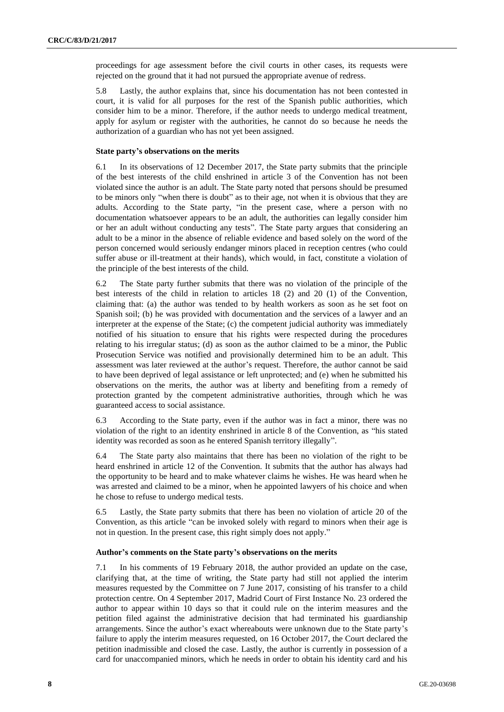proceedings for age assessment before the civil courts in other cases, its requests were rejected on the ground that it had not pursued the appropriate avenue of redress.

5.8 Lastly, the author explains that, since his documentation has not been contested in court, it is valid for all purposes for the rest of the Spanish public authorities, which consider him to be a minor. Therefore, if the author needs to undergo medical treatment, apply for asylum or register with the authorities, he cannot do so because he needs the authorization of a guardian who has not yet been assigned.

#### **State party's observations on the merits**

6.1 In its observations of 12 December 2017, the State party submits that the principle of the best interests of the child enshrined in article 3 of the Convention has not been violated since the author is an adult. The State party noted that persons should be presumed to be minors only "when there is doubt" as to their age, not when it is obvious that they are adults. According to the State party, "in the present case, where a person with no documentation whatsoever appears to be an adult, the authorities can legally consider him or her an adult without conducting any tests". The State party argues that considering an adult to be a minor in the absence of reliable evidence and based solely on the word of the person concerned would seriously endanger minors placed in reception centres (who could suffer abuse or ill-treatment at their hands), which would, in fact, constitute a violation of the principle of the best interests of the child.

6.2 The State party further submits that there was no violation of the principle of the best interests of the child in relation to articles 18 (2) and 20 (1) of the Convention, claiming that: (a) the author was tended to by health workers as soon as he set foot on Spanish soil; (b) he was provided with documentation and the services of a lawyer and an interpreter at the expense of the State; (c) the competent judicial authority was immediately notified of his situation to ensure that his rights were respected during the procedures relating to his irregular status; (d) as soon as the author claimed to be a minor, the Public Prosecution Service was notified and provisionally determined him to be an adult. This assessment was later reviewed at the author's request. Therefore, the author cannot be said to have been deprived of legal assistance or left unprotected; and (e) when he submitted his observations on the merits, the author was at liberty and benefiting from a remedy of protection granted by the competent administrative authorities, through which he was guaranteed access to social assistance.

6.3 According to the State party, even if the author was in fact a minor, there was no violation of the right to an identity enshrined in article 8 of the Convention, as "his stated identity was recorded as soon as he entered Spanish territory illegally".

6.4 The State party also maintains that there has been no violation of the right to be heard enshrined in article 12 of the Convention. It submits that the author has always had the opportunity to be heard and to make whatever claims he wishes. He was heard when he was arrested and claimed to be a minor, when he appointed lawyers of his choice and when he chose to refuse to undergo medical tests.

6.5 Lastly, the State party submits that there has been no violation of article 20 of the Convention, as this article "can be invoked solely with regard to minors when their age is not in question. In the present case, this right simply does not apply."

#### **Author's comments on the State party's observations on the merits**

7.1 In his comments of 19 February 2018, the author provided an update on the case, clarifying that, at the time of writing, the State party had still not applied the interim measures requested by the Committee on 7 June 2017, consisting of his transfer to a child protection centre. On 4 September 2017, Madrid Court of First Instance No. 23 ordered the author to appear within 10 days so that it could rule on the interim measures and the petition filed against the administrative decision that had terminated his guardianship arrangements. Since the author's exact whereabouts were unknown due to the State party's failure to apply the interim measures requested, on 16 October 2017, the Court declared the petition inadmissible and closed the case. Lastly, the author is currently in possession of a card for unaccompanied minors, which he needs in order to obtain his identity card and his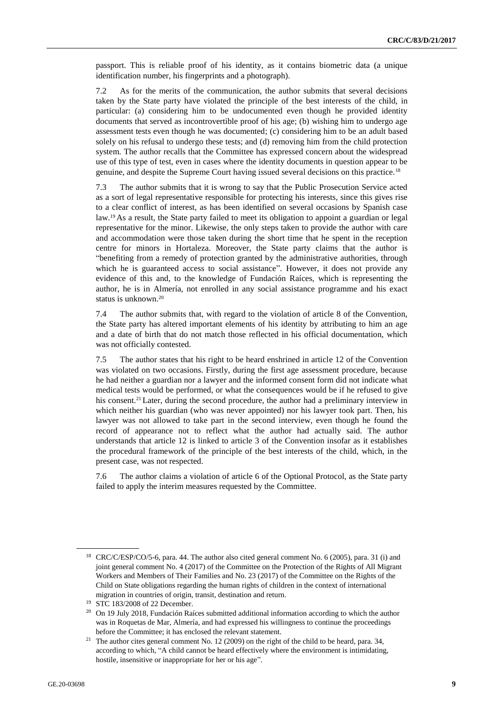passport. This is reliable proof of his identity, as it contains biometric data (a unique identification number, his fingerprints and a photograph).

7.2 As for the merits of the communication, the author submits that several decisions taken by the State party have violated the principle of the best interests of the child, in particular: (a) considering him to be undocumented even though he provided identity documents that served as incontrovertible proof of his age; (b) wishing him to undergo age assessment tests even though he was documented; (c) considering him to be an adult based solely on his refusal to undergo these tests; and (d) removing him from the child protection system. The author recalls that the Committee has expressed concern about the widespread use of this type of test, even in cases where the identity documents in question appear to be genuine, and despite the Supreme Court having issued several decisions on this practice.<sup>18</sup>

7.3 The author submits that it is wrong to say that the Public Prosecution Service acted as a sort of legal representative responsible for protecting his interests, since this gives rise to a clear conflict of interest, as has been identified on several occasions by Spanish case law.<sup>19</sup> As a result, the State party failed to meet its obligation to appoint a guardian or legal representative for the minor. Likewise, the only steps taken to provide the author with care and accommodation were those taken during the short time that he spent in the reception centre for minors in Hortaleza. Moreover, the State party claims that the author is "benefiting from a remedy of protection granted by the administrative authorities, through which he is guaranteed access to social assistance". However, it does not provide any evidence of this and, to the knowledge of Fundación Raíces, which is representing the author, he is in Almería, not enrolled in any social assistance programme and his exact status is unknown.<sup>20</sup>

7.4 The author submits that, with regard to the violation of article 8 of the Convention, the State party has altered important elements of his identity by attributing to him an age and a date of birth that do not match those reflected in his official documentation, which was not officially contested.

7.5 The author states that his right to be heard enshrined in article 12 of the Convention was violated on two occasions. Firstly, during the first age assessment procedure, because he had neither a guardian nor a lawyer and the informed consent form did not indicate what medical tests would be performed, or what the consequences would be if he refused to give his consent.<sup>21</sup> Later, during the second procedure, the author had a preliminary interview in which neither his guardian (who was never appointed) nor his lawyer took part. Then, his lawyer was not allowed to take part in the second interview, even though he found the record of appearance not to reflect what the author had actually said. The author understands that article 12 is linked to article 3 of the Convention insofar as it establishes the procedural framework of the principle of the best interests of the child, which, in the present case, was not respected.

7.6 The author claims a violation of article 6 of the Optional Protocol, as the State party failed to apply the interim measures requested by the Committee.

<sup>&</sup>lt;sup>18</sup> CRC/C/ESP/CO/5-6, para. 44. The author also cited general comment No. 6 (2005), para. 31 (i) and joint general comment No. 4 (2017) of the Committee on the Protection of the Rights of All Migrant Workers and Members of Their Families and No. 23 (2017) of the Committee on the Rights of the Child on State obligations regarding the human rights of children in the context of international migration in countries of origin, transit, destination and return.

<sup>19</sup> STC 183/2008 of 22 December.

<sup>&</sup>lt;sup>20</sup> On 19 July 2018, Fundación Raíces submitted additional information according to which the author was in Roquetas de Mar, Almería, and had expressed his willingness to continue the proceedings before the Committee; it has enclosed the relevant statement.

<sup>&</sup>lt;sup>21</sup> The author cites general comment No. 12 (2009) on the right of the child to be heard, para. 34, according to which, "A child cannot be heard effectively where the environment is intimidating, hostile, insensitive or inappropriate for her or his age".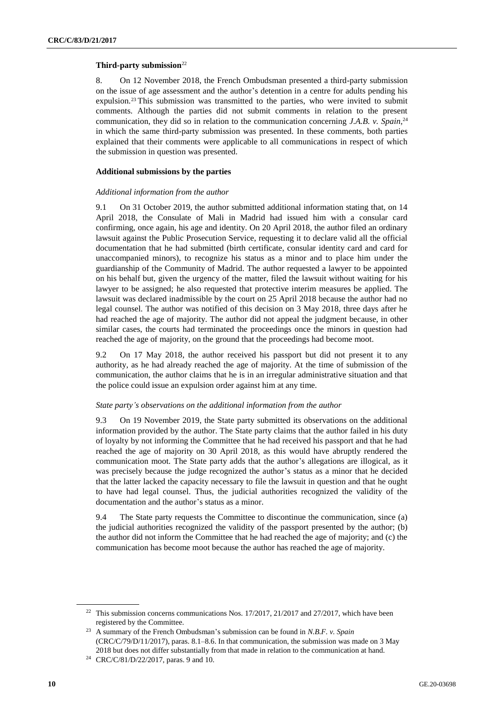### **Third-party submission**<sup>22</sup>

8. On 12 November 2018, the French Ombudsman presented a third-party submission on the issue of age assessment and the author's detention in a centre for adults pending his expulsion.<sup>23</sup> This submission was transmitted to the parties, who were invited to submit comments. Although the parties did not submit comments in relation to the present communication, they did so in relation to the communication concerning *J.A.B. v. Spain*, 24 in which the same third-party submission was presented. In these comments, both parties explained that their comments were applicable to all communications in respect of which the submission in question was presented.

## **Additional submissions by the parties**

#### *Additional information from the author*

9.1 On 31 October 2019, the author submitted additional information stating that, on 14 April 2018, the Consulate of Mali in Madrid had issued him with a consular card confirming, once again, his age and identity. On 20 April 2018, the author filed an ordinary lawsuit against the Public Prosecution Service, requesting it to declare valid all the official documentation that he had submitted (birth certificate, consular identity card and card for unaccompanied minors), to recognize his status as a minor and to place him under the guardianship of the Community of Madrid. The author requested a lawyer to be appointed on his behalf but, given the urgency of the matter, filed the lawsuit without waiting for his lawyer to be assigned; he also requested that protective interim measures be applied. The lawsuit was declared inadmissible by the court on 25 April 2018 because the author had no legal counsel. The author was notified of this decision on 3 May 2018, three days after he had reached the age of majority. The author did not appeal the judgment because, in other similar cases, the courts had terminated the proceedings once the minors in question had reached the age of majority, on the ground that the proceedings had become moot.

9.2 On 17 May 2018, the author received his passport but did not present it to any authority, as he had already reached the age of majority. At the time of submission of the communication, the author claims that he is in an irregular administrative situation and that the police could issue an expulsion order against him at any time.

#### *State party's observations on the additional information from the author*

9.3 On 19 November 2019, the State party submitted its observations on the additional information provided by the author. The State party claims that the author failed in his duty of loyalty by not informing the Committee that he had received his passport and that he had reached the age of majority on 30 April 2018, as this would have abruptly rendered the communication moot. The State party adds that the author's allegations are illogical, as it was precisely because the judge recognized the author's status as a minor that he decided that the latter lacked the capacity necessary to file the lawsuit in question and that he ought to have had legal counsel. Thus, the judicial authorities recognized the validity of the documentation and the author's status as a minor.

9.4 The State party requests the Committee to discontinue the communication, since (a) the judicial authorities recognized the validity of the passport presented by the author; (b) the author did not inform the Committee that he had reached the age of majority; and (c) the communication has become moot because the author has reached the age of majority.

<sup>&</sup>lt;sup>22</sup> This submission concerns communications Nos.  $17/2017$ ,  $21/2017$  and  $27/2017$ , which have been registered by the Committee.

<sup>23</sup> A summary of the French Ombudsman's submission can be found in *N.B.F. v. Spain* (CRC/C/79/D/11/2017), paras. 8.1–8.6. In that communication, the submission was made on 3 May 2018 but does not differ substantially from that made in relation to the communication at hand.

<sup>24</sup> CRC/C/81/D/22/2017, paras. 9 and 10.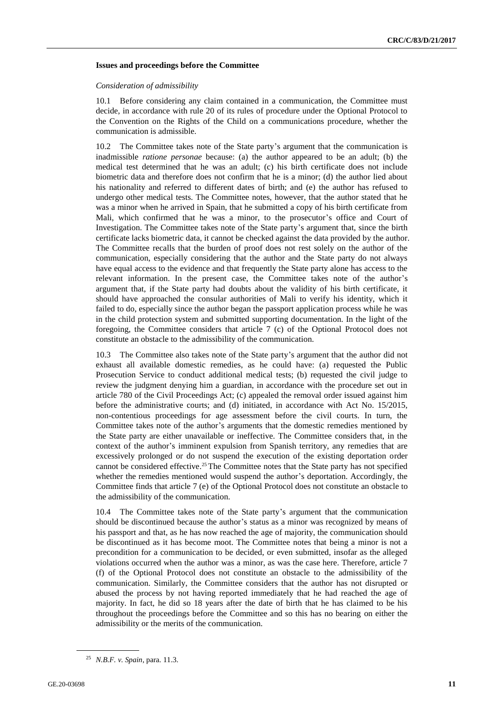#### **Issues and proceedings before the Committee**

#### *Consideration of admissibility*

10.1 Before considering any claim contained in a communication, the Committee must decide, in accordance with rule 20 of its rules of procedure under the Optional Protocol to the Convention on the Rights of the Child on a communications procedure, whether the communication is admissible.

10.2 The Committee takes note of the State party's argument that the communication is inadmissible *ratione personae* because: (a) the author appeared to be an adult; (b) the medical test determined that he was an adult; (c) his birth certificate does not include biometric data and therefore does not confirm that he is a minor; (d) the author lied about his nationality and referred to different dates of birth; and (e) the author has refused to undergo other medical tests. The Committee notes, however, that the author stated that he was a minor when he arrived in Spain, that he submitted a copy of his birth certificate from Mali, which confirmed that he was a minor, to the prosecutor's office and Court of Investigation. The Committee takes note of the State party's argument that, since the birth certificate lacks biometric data, it cannot be checked against the data provided by the author. The Committee recalls that the burden of proof does not rest solely on the author of the communication, especially considering that the author and the State party do not always have equal access to the evidence and that frequently the State party alone has access to the relevant information. In the present case, the Committee takes note of the author's argument that, if the State party had doubts about the validity of his birth certificate, it should have approached the consular authorities of Mali to verify his identity, which it failed to do, especially since the author began the passport application process while he was in the child protection system and submitted supporting documentation. In the light of the foregoing, the Committee considers that article 7 (c) of the Optional Protocol does not constitute an obstacle to the admissibility of the communication.

10.3 The Committee also takes note of the State party's argument that the author did not exhaust all available domestic remedies, as he could have: (a) requested the Public Prosecution Service to conduct additional medical tests; (b) requested the civil judge to review the judgment denying him a guardian, in accordance with the procedure set out in article 780 of the Civil Proceedings Act; (c) appealed the removal order issued against him before the administrative courts; and (d) initiated, in accordance with Act No. 15/2015, non-contentious proceedings for age assessment before the civil courts. In turn, the Committee takes note of the author's arguments that the domestic remedies mentioned by the State party are either unavailable or ineffective. The Committee considers that, in the context of the author's imminent expulsion from Spanish territory, any remedies that are excessively prolonged or do not suspend the execution of the existing deportation order cannot be considered effective.25The Committee notes that the State party has not specified whether the remedies mentioned would suspend the author's deportation. Accordingly, the Committee finds that article 7 (e) of the Optional Protocol does not constitute an obstacle to the admissibility of the communication.

The Committee takes note of the State party's argument that the communication should be discontinued because the author's status as a minor was recognized by means of his passport and that, as he has now reached the age of majority, the communication should be discontinued as it has become moot. The Committee notes that being a minor is not a precondition for a communication to be decided, or even submitted, insofar as the alleged violations occurred when the author was a minor, as was the case here. Therefore, article 7 (f) of the Optional Protocol does not constitute an obstacle to the admissibility of the communication. Similarly, the Committee considers that the author has not disrupted or abused the process by not having reported immediately that he had reached the age of majority. In fact, he did so 18 years after the date of birth that he has claimed to be his throughout the proceedings before the Committee and so this has no bearing on either the admissibility or the merits of the communication.

<sup>25</sup> *N.B.F. v. Spain*, para. 11.3.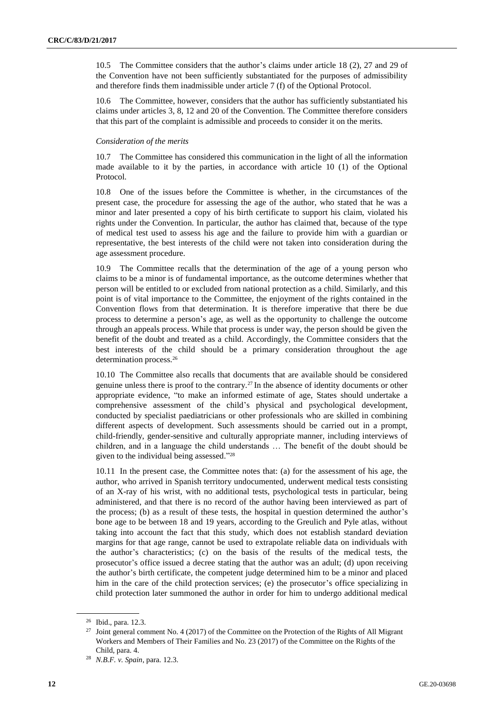10.5 The Committee considers that the author's claims under article 18 (2), 27 and 29 of the Convention have not been sufficiently substantiated for the purposes of admissibility and therefore finds them inadmissible under article 7 (f) of the Optional Protocol.

10.6 The Committee, however, considers that the author has sufficiently substantiated his claims under articles 3, 8, 12 and 20 of the Convention. The Committee therefore considers that this part of the complaint is admissible and proceeds to consider it on the merits.

## *Consideration of the merits*

10.7 The Committee has considered this communication in the light of all the information made available to it by the parties, in accordance with article 10 (1) of the Optional Protocol.

10.8 One of the issues before the Committee is whether, in the circumstances of the present case, the procedure for assessing the age of the author, who stated that he was a minor and later presented a copy of his birth certificate to support his claim, violated his rights under the Convention. In particular, the author has claimed that, because of the type of medical test used to assess his age and the failure to provide him with a guardian or representative, the best interests of the child were not taken into consideration during the age assessment procedure.

10.9 The Committee recalls that the determination of the age of a young person who claims to be a minor is of fundamental importance, as the outcome determines whether that person will be entitled to or excluded from national protection as a child. Similarly, and this point is of vital importance to the Committee, the enjoyment of the rights contained in the Convention flows from that determination. It is therefore imperative that there be due process to determine a person's age, as well as the opportunity to challenge the outcome through an appeals process. While that process is under way, the person should be given the benefit of the doubt and treated as a child. Accordingly, the Committee considers that the best interests of the child should be a primary consideration throughout the age determination process.<sup>26</sup>

10.10 The Committee also recalls that documents that are available should be considered genuine unless there is proof to the contrary.<sup>27</sup> In the absence of identity documents or other appropriate evidence, "to make an informed estimate of age, States should undertake a comprehensive assessment of the child's physical and psychological development, conducted by specialist paediatricians or other professionals who are skilled in combining different aspects of development. Such assessments should be carried out in a prompt, child-friendly, gender-sensitive and culturally appropriate manner, including interviews of children, and in a language the child understands … The benefit of the doubt should be given to the individual being assessed." 28

10.11 In the present case, the Committee notes that: (a) for the assessment of his age, the author, who arrived in Spanish territory undocumented, underwent medical tests consisting of an X-ray of his wrist, with no additional tests, psychological tests in particular, being administered, and that there is no record of the author having been interviewed as part of the process; (b) as a result of these tests, the hospital in question determined the author's bone age to be between 18 and 19 years, according to the Greulich and Pyle atlas, without taking into account the fact that this study, which does not establish standard deviation margins for that age range, cannot be used to extrapolate reliable data on individuals with the author's characteristics; (c) on the basis of the results of the medical tests, the prosecutor's office issued a decree stating that the author was an adult; (d) upon receiving the author's birth certificate, the competent judge determined him to be a minor and placed him in the care of the child protection services; (e) the prosecutor's office specializing in child protection later summoned the author in order for him to undergo additional medical

<sup>26</sup> Ibid., para. 12.3.

<sup>&</sup>lt;sup>27</sup> Joint general comment No. 4 (2017) of the Committee on the Protection of the Rights of All Migrant Workers and Members of Their Families and No. 23 (2017) of the Committee on the Rights of the Child, para. 4.

<sup>28</sup> *N.B.F. v. Spain*, para. 12.3.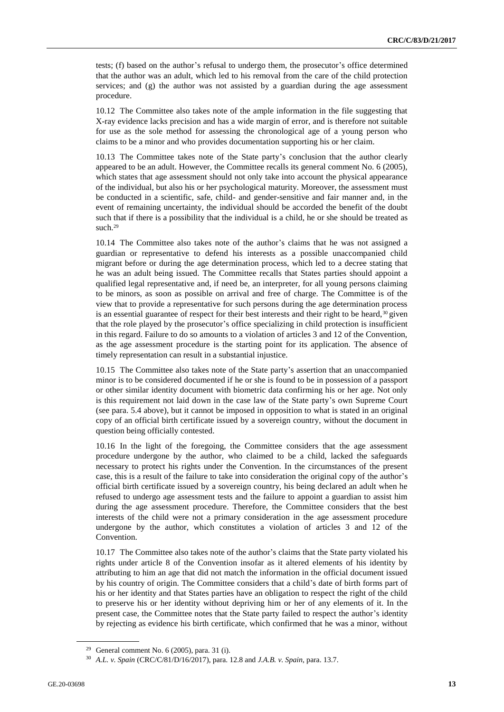tests; (f) based on the author's refusal to undergo them, the prosecutor's office determined that the author was an adult, which led to his removal from the care of the child protection services; and (g) the author was not assisted by a guardian during the age assessment procedure.

10.12 The Committee also takes note of the ample information in the file suggesting that X-ray evidence lacks precision and has a wide margin of error, and is therefore not suitable for use as the sole method for assessing the chronological age of a young person who claims to be a minor and who provides documentation supporting his or her claim.

10.13 The Committee takes note of the State party's conclusion that the author clearly appeared to be an adult. However, the Committee recalls its general comment No. 6 (2005), which states that age assessment should not only take into account the physical appearance of the individual, but also his or her psychological maturity. Moreover, the assessment must be conducted in a scientific, safe, child- and gender-sensitive and fair manner and, in the event of remaining uncertainty, the individual should be accorded the benefit of the doubt such that if there is a possibility that the individual is a child, he or she should be treated as such.<sup>29</sup>

10.14 The Committee also takes note of the author's claims that he was not assigned a guardian or representative to defend his interests as a possible unaccompanied child migrant before or during the age determination process, which led to a decree stating that he was an adult being issued. The Committee recalls that States parties should appoint a qualified legal representative and, if need be, an interpreter, for all young persons claiming to be minors, as soon as possible on arrival and free of charge. The Committee is of the view that to provide a representative for such persons during the age determination process is an essential guarantee of respect for their best interests and their right to be heard,  $30$  given that the role played by the prosecutor's office specializing in child protection is insufficient in this regard. Failure to do so amounts to a violation of articles 3 and 12 of the Convention, as the age assessment procedure is the starting point for its application. The absence of timely representation can result in a substantial injustice.

10.15 The Committee also takes note of the State party's assertion that an unaccompanied minor is to be considered documented if he or she is found to be in possession of a passport or other similar identity document with biometric data confirming his or her age. Not only is this requirement not laid down in the case law of the State party's own Supreme Court (see para. 5.4 above), but it cannot be imposed in opposition to what is stated in an original copy of an official birth certificate issued by a sovereign country, without the document in question being officially contested.

10.16 In the light of the foregoing, the Committee considers that the age assessment procedure undergone by the author, who claimed to be a child, lacked the safeguards necessary to protect his rights under the Convention. In the circumstances of the present case, this is a result of the failure to take into consideration the original copy of the author's official birth certificate issued by a sovereign country, his being declared an adult when he refused to undergo age assessment tests and the failure to appoint a guardian to assist him during the age assessment procedure. Therefore, the Committee considers that the best interests of the child were not a primary consideration in the age assessment procedure undergone by the author, which constitutes a violation of articles 3 and 12 of the Convention.

10.17 The Committee also takes note of the author's claims that the State party violated his rights under article 8 of the Convention insofar as it altered elements of his identity by attributing to him an age that did not match the information in the official document issued by his country of origin. The Committee considers that a child's date of birth forms part of his or her identity and that States parties have an obligation to respect the right of the child to preserve his or her identity without depriving him or her of any elements of it. In the present case, the Committee notes that the State party failed to respect the author's identity by rejecting as evidence his birth certificate, which confirmed that he was a minor, without

<sup>&</sup>lt;sup>29</sup> General comment No. 6 (2005), para. 31 (i).

<sup>30</sup> *A.L. v. Spain* (CRC/C/81/D/16/2017), para. 12.8 and *J.A.B. v. Spain*, para. 13.7.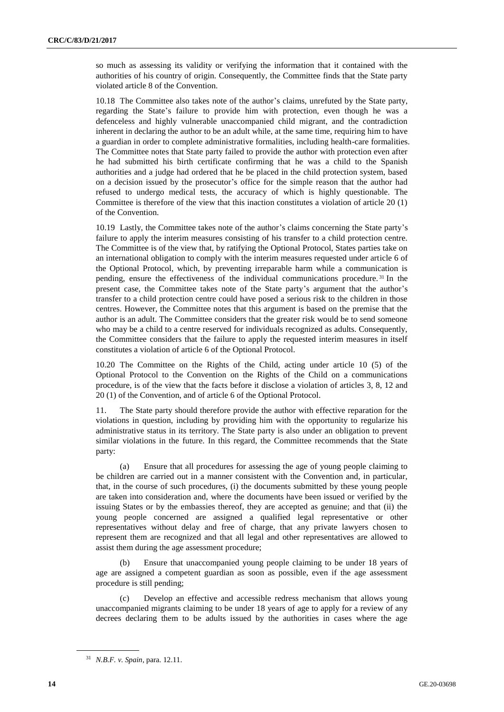so much as assessing its validity or verifying the information that it contained with the authorities of his country of origin. Consequently, the Committee finds that the State party violated article 8 of the Convention.

10.18 The Committee also takes note of the author's claims, unrefuted by the State party, regarding the State's failure to provide him with protection, even though he was a defenceless and highly vulnerable unaccompanied child migrant, and the contradiction inherent in declaring the author to be an adult while, at the same time, requiring him to have a guardian in order to complete administrative formalities, including health-care formalities. The Committee notes that State party failed to provide the author with protection even after he had submitted his birth certificate confirming that he was a child to the Spanish authorities and a judge had ordered that he be placed in the child protection system, based on a decision issued by the prosecutor's office for the simple reason that the author had refused to undergo medical tests, the accuracy of which is highly questionable. The Committee is therefore of the view that this inaction constitutes a violation of article 20 (1) of the Convention.

10.19 Lastly, the Committee takes note of the author's claims concerning the State party's failure to apply the interim measures consisting of his transfer to a child protection centre. The Committee is of the view that, by ratifying the Optional Protocol, States parties take on an international obligation to comply with the interim measures requested under article 6 of the Optional Protocol, which, by preventing irreparable harm while a communication is pending, ensure the effectiveness of the individual communications procedure. <sup>31</sup> In the present case, the Committee takes note of the State party's argument that the author's transfer to a child protection centre could have posed a serious risk to the children in those centres. However, the Committee notes that this argument is based on the premise that the author is an adult. The Committee considers that the greater risk would be to send someone who may be a child to a centre reserved for individuals recognized as adults. Consequently, the Committee considers that the failure to apply the requested interim measures in itself constitutes a violation of article 6 of the Optional Protocol.

10.20 The Committee on the Rights of the Child, acting under article 10 (5) of the Optional Protocol to the Convention on the Rights of the Child on a communications procedure, is of the view that the facts before it disclose a violation of articles 3, 8, 12 and 20 (1) of the Convention, and of article 6 of the Optional Protocol.

11. The State party should therefore provide the author with effective reparation for the violations in question, including by providing him with the opportunity to regularize his administrative status in its territory. The State party is also under an obligation to prevent similar violations in the future. In this regard, the Committee recommends that the State party:

(a) Ensure that all procedures for assessing the age of young people claiming to be children are carried out in a manner consistent with the Convention and, in particular, that, in the course of such procedures, (i) the documents submitted by these young people are taken into consideration and, where the documents have been issued or verified by the issuing States or by the embassies thereof, they are accepted as genuine; and that (ii) the young people concerned are assigned a qualified legal representative or other representatives without delay and free of charge, that any private lawyers chosen to represent them are recognized and that all legal and other representatives are allowed to assist them during the age assessment procedure;

(b) Ensure that unaccompanied young people claiming to be under 18 years of age are assigned a competent guardian as soon as possible, even if the age assessment procedure is still pending;

(c) Develop an effective and accessible redress mechanism that allows young unaccompanied migrants claiming to be under 18 years of age to apply for a review of any decrees declaring them to be adults issued by the authorities in cases where the age

<sup>31</sup> *N.B.F. v. Spain*, para. 12.11.